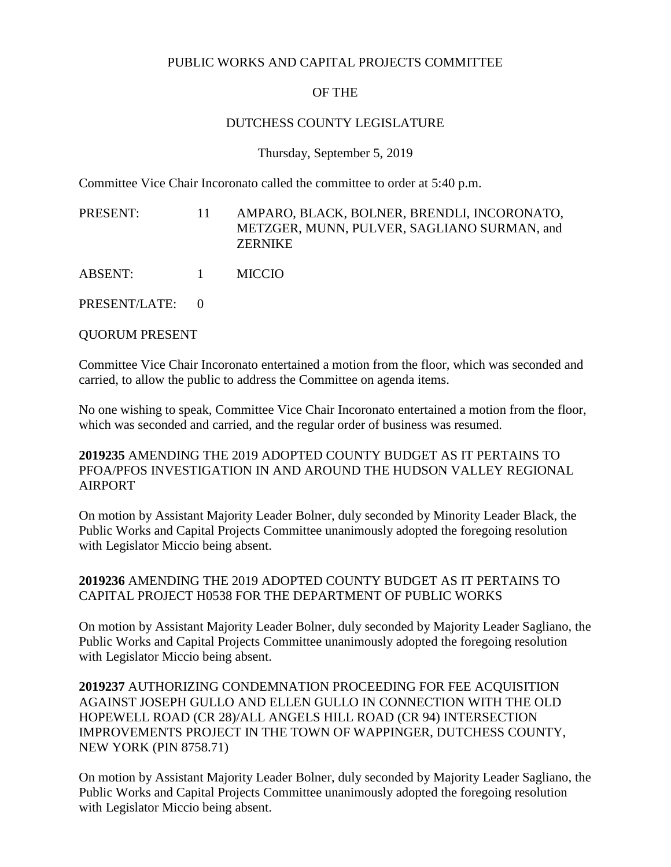### PUBLIC WORKS AND CAPITAL PROJECTS COMMITTEE

# OF THE

## DUTCHESS COUNTY LEGISLATURE

### Thursday, September 5, 2019

Committee Vice Chair Incoronato called the committee to order at 5:40 p.m.

PRESENT: 11 AMPARO, BLACK, BOLNER, BRENDLI, INCORONATO, METZGER, MUNN, PULVER, SAGLIANO SURMAN, and ZERNIKE

ABSENT: 1 MICCIO

PRESENT/LATE: 0

QUORUM PRESENT

Committee Vice Chair Incoronato entertained a motion from the floor, which was seconded and carried, to allow the public to address the Committee on agenda items.

No one wishing to speak, Committee Vice Chair Incoronato entertained a motion from the floor, which was seconded and carried, and the regular order of business was resumed.

**2019235** AMENDING THE 2019 ADOPTED COUNTY BUDGET AS IT PERTAINS TO PFOA/PFOS INVESTIGATION IN AND AROUND THE HUDSON VALLEY REGIONAL AIRPORT

On motion by Assistant Majority Leader Bolner, duly seconded by Minority Leader Black, the Public Works and Capital Projects Committee unanimously adopted the foregoing resolution with Legislator Miccio being absent.

# **2019236** AMENDING THE 2019 ADOPTED COUNTY BUDGET AS IT PERTAINS TO CAPITAL PROJECT H0538 FOR THE DEPARTMENT OF PUBLIC WORKS

On motion by Assistant Majority Leader Bolner, duly seconded by Majority Leader Sagliano, the Public Works and Capital Projects Committee unanimously adopted the foregoing resolution with Legislator Miccio being absent.

**2019237** AUTHORIZING CONDEMNATION PROCEEDING FOR FEE ACQUISITION AGAINST JOSEPH GULLO AND ELLEN GULLO IN CONNECTION WITH THE OLD HOPEWELL ROAD (CR 28)/ALL ANGELS HILL ROAD (CR 94) INTERSECTION IMPROVEMENTS PROJECT IN THE TOWN OF WAPPINGER, DUTCHESS COUNTY, NEW YORK (PIN 8758.71)

On motion by Assistant Majority Leader Bolner, duly seconded by Majority Leader Sagliano, the Public Works and Capital Projects Committee unanimously adopted the foregoing resolution with Legislator Miccio being absent.